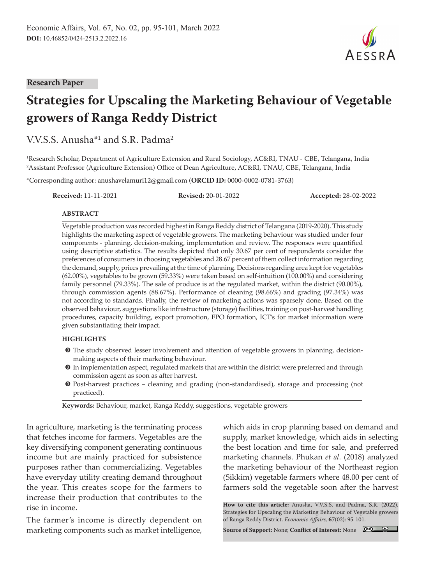#### **Research Paper**

# **Strategies for Upscaling the Marketing Behaviour of Vegetable growers of Ranga Reddy District**

V.V.S.S. Anusha<sup>\*1</sup> and S.R. Padma<sup>2</sup>

1 Research Scholar, Department of Agriculture Extension and Rural Sociology, AC&RI, TNAU - CBE, Telangana, India 2 Assistant Professor (Agriculture Extension) Office of Dean Agriculture, AC&RI, TNAU, CBE, Telangana, India

\*Corresponding author: anushavelamuri12@gmail.com (**ORCID ID:** 0000-0002-0781-3763)

**Received:** 11-11-2021 **Revised:** 20-01-2022 **Accepted:** 28-02-2022

#### **ABSTRACT**

Vegetable production was recorded highest in Ranga Reddy district of Telangana (2019-2020). This study highlights the marketing aspect of vegetable growers. The marketing behaviour was studied under four components - planning, decision-making, implementation and review. The responses were quantified using descriptive statistics. The results depicted that only 30.67 per cent of respondents consider the preferences of consumers in choosing vegetables and 28.67 percent of them collect information regarding the demand, supply, prices prevailing at the time of planning. Decisions regarding area kept for vegetables (62.00%), vegetables to be grown (59.33%) were taken based on self-intuition (100.00%) and considering family personnel (79.33%). The sale of produce is at the regulated market, within the district (90.00%), through commission agents (88.67%). Performance of cleaning (98.66%) and grading (97.34%) was not according to standards. Finally, the review of marketing actions was sparsely done. Based on the observed behaviour, suggestions like infrastructure (storage) facilities, training on post-harvest handling procedures, capacity building, export promotion, FPO formation, ICT's for market information were given substantiating their impact.

#### **HIGHLIGHTS**

- $\bullet$  The study observed lesser involvement and attention of vegetable growers in planning, decisionmaking aspects of their marketing behaviour.
- $\odot$  In implementation aspect, regulated markets that are within the district were preferred and through commission agent as soon as after harvest.
- m Post-harvest practices cleaning and grading (non-standardised), storage and processing (not practiced).

**Keywords:** Behaviour, market, Ranga Reddy, suggestions, vegetable growers

In agriculture, marketing is the terminating process that fetches income for farmers. Vegetables are the key diversifying component generating continuous income but are mainly practiced for subsistence purposes rather than commercializing. Vegetables have everyday utility creating demand throughout the year. This creates scope for the farmers to increase their production that contributes to the rise in income.

The farmer's income is directly dependent on marketing components such as market intelligence,

which aids in crop planning based on demand and supply, market knowledge, which aids in selecting the best location and time for sale, and preferred marketing channels. Phukan *et al.* (2018) analyzed the marketing behaviour of the Northeast region (Sikkim) vegetable farmers where 48.00 per cent of farmers sold the vegetable soon after the harvest

**How to cite this article:** Anusha, V.V.S.S. and Padma, S.R. (2022). Strategies for Upscaling the Marketing Behaviour of Vegetable growers of Ranga Reddy District. *Economic Affairs,* **67**(02): 95-101.

**Source of Support:** None; **Conflict of Interest:** None



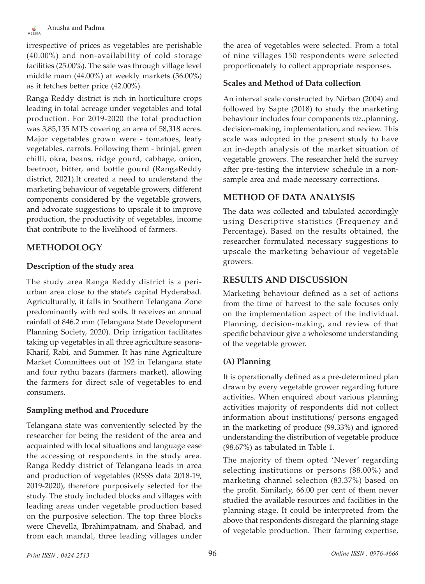irrespective of prices as vegetables are perishable (40.00%) and non-availability of cold storage facilities (25.00%). The sale was through village level middle mam (44.00%) at weekly markets (36.00%) as it fetches better price (42.00%).

Ranga Reddy district is rich in horticulture crops leading in total acreage under vegetables and total production. For 2019-2020 the total production was 3,85,135 MTS covering an area of 58,318 acres. Major vegetables grown were - tomatoes, leafy vegetables, carrots. Following them - brinjal, green chilli, okra, beans, ridge gourd, cabbage, onion, beetroot, bitter, and bottle gourd (RangaReddy district, 2021).It created a need to understand the marketing behaviour of vegetable growers, different components considered by the vegetable growers, and advocate suggestions to upscale it to improve production, the productivity of vegetables, income that contribute to the livelihood of farmers.

# **METHODOLOGY**

# **Description of the study area**

The study area Ranga Reddy district is a periurban area close to the state's capital Hyderabad. Agriculturally, it falls in Southern Telangana Zone predominantly with red soils. It receives an annual rainfall of 846.2 mm (Telangana State Development Planning Society, 2020). Drip irrigation facilitates taking up vegetables in all three agriculture seasons-Kharif, Rabi, and Summer. It has nine Agriculture Market Committees out of 192 in Telangana state and four rythu bazars (farmers market), allowing the farmers for direct sale of vegetables to end consumers.

# **Sampling method and Procedure**

Telangana state was conveniently selected by the researcher for being the resident of the area and acquainted with local situations and language ease the accessing of respondents in the study area. Ranga Reddy district of Telangana leads in area and production of vegetables (RSSS data 2018-19, 2019-2020), therefore purposively selected for the study. The study included blocks and villages with leading areas under vegetable production based on the purposive selection. The top three blocks were Chevella, Ibrahimpatnam, and Shabad, and from each mandal, three leading villages under

the area of vegetables were selected. From a total of nine villages 150 respondents were selected proportionately to collect appropriate responses.

#### **Scales and Method of Data collection**

An interval scale constructed by Nirban (2004) and followed by Sapte (2018) to study the marketing behaviour includes four components *viz.,*planning, decision-making, implementation, and review. This scale was adopted in the present study to have an in-depth analysis of the market situation of vegetable growers. The researcher held the survey after pre-testing the interview schedule in a nonsample area and made necessary corrections.

# **METHOD OF DATA ANALYSIS**

The data was collected and tabulated accordingly using Descriptive statistics (Frequency and Percentage). Based on the results obtained, the researcher formulated necessary suggestions to upscale the marketing behaviour of vegetable growers.

# **RESULTS AND DISCUSSION**

Marketing behaviour defined as a set of actions from the time of harvest to the sale focuses only on the implementation aspect of the individual. Planning, decision-making, and review of that specific behaviour give a wholesome understanding of the vegetable grower.

# **(A) Planning**

It is operationally defined as a pre-determined plan drawn by every vegetable grower regarding future activities. When enquired about various planning activities majority of respondents did not collect information about institutions/ persons engaged in the marketing of produce (99.33%) and ignored understanding the distribution of vegetable produce (98.67%) as tabulated in Table 1.

The majority of them opted 'Never' regarding selecting institutions or persons (88.00%) and marketing channel selection (83.37%) based on the profit. Similarly, 66.00 per cent of them never studied the available resources and facilities in the planning stage. It could be interpreted from the above that respondents disregard the planning stage of vegetable production. Their farming expertise,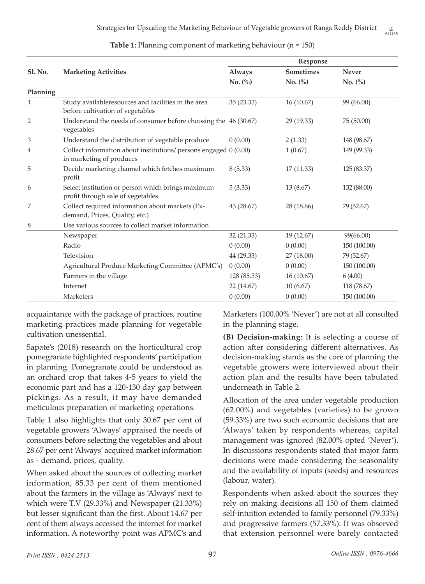|          |                                                                                              | Response    |            |              |  |
|----------|----------------------------------------------------------------------------------------------|-------------|------------|--------------|--|
| Sl. No.  | <b>Marketing Activities</b>                                                                  | Always      | Sometimes  | <b>Never</b> |  |
|          |                                                                                              | No. (%)     | No. (%)    | No. (%)      |  |
| Planning |                                                                                              |             |            |              |  |
| 1        | Study availableresources and facilities in the area<br>before cultivation of vegetables      | 35 (23.33)  | 16(10.67)  | 99 (66.00)   |  |
| 2        | Understand the needs of consumer before choosing the 46 (30.67)<br>vegetables                |             | 29 (19.33) | 75 (50.00)   |  |
| 3        | Understand the distribution of vegetable produce                                             | 0(0.00)     | 2(1.33)    | 148 (98.67)  |  |
| 4        | Collect information about institutions/ persons engaged 0 (0.00)<br>in marketing of produces |             | 1(0.67)    | 149 (99.33)  |  |
| 5        | Decide marketing channel which fetches maximum<br>profit                                     | 8(5.33)     | 17(11.33)  | 125 (83.37)  |  |
| 6        | Select institution or person which brings maximum<br>profit through sale of vegetables       | 5(3.33)     | 13 (8.67)  | 132 (88.00)  |  |
| 7        | Collect required information about markets (Ex-<br>demand, Prices, Quality, etc.)            | 43 (28.67)  | 28 (18.66) | 79 (52.67)   |  |
| 8        | Use various sources to collect market information                                            |             |            |              |  |
|          | Newspaper                                                                                    | 32 (21.33)  | 19 (12.67) | 99(66.00)    |  |
|          | Radio                                                                                        | 0(0.00)     | 0(0.00)    | 150 (100.00) |  |
|          | Television                                                                                   | 44 (29.33)  | 27 (18.00) | 79 (52.67)   |  |
|          | Agricultural Produce Marketing Committee (APMC's)                                            | 0(0.00)     | 0(0.00)    | 150 (100.00) |  |
|          | Farmers in the village                                                                       | 128 (85.33) | 16(10.67)  | 6(4.00)      |  |
|          | Internet                                                                                     | 22 (14.67)  | 10(6.67)   | 118 (78.67)  |  |
|          | Marketers                                                                                    | 0(0.00)     | 0(0.00)    | 150 (100.00) |  |

**Table 1:** Planning component of marketing behaviour (n = 150)

acquaintance with the package of practices, routine marketing practices made planning for vegetable cultivation unessential.

Sapate's (2018) research on the horticultural crop pomegranate highlighted respondents' participation in planning. Pomegranate could be understood as an orchard crop that takes 4-5 years to yield the economic part and has a 120-130 day gap between pickings. As a result, it may have demanded meticulous preparation of marketing operations.

Table 1 also highlights that only 30.67 per cent of vegetable growers 'Always' appraised the needs of consumers before selecting the vegetables and about 28.67 per cent 'Always' acquired market information as - demand, prices, quality.

When asked about the sources of collecting market information, 85.33 per cent of them mentioned about the farmers in the village as 'Always' next to which were T.V (29.33%) and Newspaper (21.33%) but lesser significant than the first. About 14.67 per cent of them always accessed the internet for market information. A noteworthy point was APMC's and

Marketers (100.00% 'Never') are not at all consulted in the planning stage.

**(B) Decision-making**: It is selecting a course of action after considering different alternatives. As decision-making stands as the core of planning the vegetable growers were interviewed about their action plan and the results have been tabulated underneath in Table 2.

Allocation of the area under vegetable production (62.00%) and vegetables (varieties) to be grown (59.33%) are two such economic decisions that are 'Always' taken by respondents whereas, capital management was ignored (82.00% opted 'Never'). In discussions respondents stated that major farm decisions were made considering the seasonality and the availability of inputs (seeds) and resources (labour, water).

Respondents when asked about the sources they rely on making decisions all 150 of them claimed self-intuition extended to family personnel (79.33%) and progressive farmers (57.33%). It was observed that extension personnel were barely contacted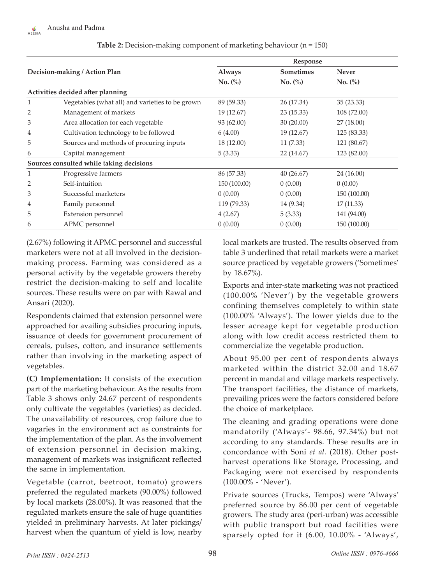| Decision-making / Action Plan     |                                                 | Response      |                  |              |  |
|-----------------------------------|-------------------------------------------------|---------------|------------------|--------------|--|
|                                   |                                                 | <b>Always</b> | <b>Sometimes</b> | Never        |  |
|                                   |                                                 | No. (%)       | No. (%)          | No. (%)      |  |
| Activities decided after planning |                                                 |               |                  |              |  |
| 1                                 | Vegetables (what all) and varieties to be grown | 89 (59.33)    | 26 (17.34)       | 35(23.33)    |  |
| 2                                 | Management of markets                           | 19 (12.67)    | 23(15.33)        | 108 (72.00)  |  |
| 3                                 | Area allocation for each vegetable              | 93 (62.00)    | 30 (20.00)       | 27(18.00)    |  |
| 4                                 | Cultivation technology to be followed           | 6(4.00)       | 19 (12.67)       | 125 (83.33)  |  |
| 5                                 | Sources and methods of procuring inputs         | 18 (12.00)    | 11(7.33)         | 121 (80.67)  |  |
| 6                                 | Capital management                              | 5(3.33)       | 22 (14.67)       | 123 (82.00)  |  |
|                                   | Sources consulted while taking decisions        |               |                  |              |  |
| 1                                 | Progressive farmers                             | 86 (57.33)    | 40(26.67)        | 24 (16.00)   |  |
| 2                                 | Self-intuition                                  | 150 (100.00)  | 0(0.00)          | 0(0.00)      |  |
| 3                                 | Successful marketers                            | 0(0.00)       | 0(0.00)          | 150 (100.00) |  |
| 4                                 | Family personnel                                | 119 (79.33)   | 14 (9.34)        | 17(11.33)    |  |
| 5                                 | Extension personnel                             | 4(2.67)       | 5(3.33)          | 141 (94.00)  |  |
| 6                                 | APMC personnel                                  | 0(0.00)       | 0(0.00)          | 150 (100.00) |  |

**Table 2:** Decision-making component of marketing behaviour (n = 150)

(2.67%) following it APMC personnel and successful marketers were not at all involved in the decisionmaking process. Farming was considered as a personal activity by the vegetable growers thereby restrict the decision-making to self and localite sources. These results were on par with Rawal and Ansari (2020).

Respondents claimed that extension personnel were approached for availing subsidies procuring inputs, issuance of deeds for government procurement of cereals, pulses, cotton, and insurance settlements rather than involving in the marketing aspect of vegetables.

**(C) Implementation:** It consists of the execution part of the marketing behaviour. As the results from Table 3 shows only 24.67 percent of respondents only cultivate the vegetables (varieties) as decided. The unavailability of resources, crop failure due to vagaries in the environment act as constraints for the implementation of the plan. As the involvement of extension personnel in decision making, management of markets was insignificant reflected the same in implementation.

Vegetable (carrot, beetroot, tomato) growers preferred the regulated markets (90.00%) followed by local markets (28.00%). It was reasoned that the regulated markets ensure the sale of huge quantities yielded in preliminary harvests. At later pickings/ harvest when the quantum of yield is low, nearby local markets are trusted. The results observed from table 3 underlined that retail markets were a market source practiced by vegetable growers ('Sometimes' by 18.67%).

Exports and inter-state marketing was not practiced (100.00% 'Never ') by the vegetable growers confining themselves completely to within state (100.00% 'Always'). The lower yields due to the lesser acreage kept for vegetable production along with low credit access restricted them to commercialize the vegetable production.

About 95.00 per cent of respondents always marketed within the district 32.00 and 18.67 percent in mandal and village markets respectively. The transport facilities, the distance of markets, prevailing prices were the factors considered before the choice of marketplace.

The cleaning and grading operations were done mandatorily ('Always'- 98.66, 97.34%) but not according to any standards. These results are in concordance with Soni *et al.* (2018). Other postharvest operations like Storage, Processing, and Packaging were not exercised by respondents (100.00% - 'Never').

Private sources (Trucks, Tempos) were 'Always' preferred source by 86.00 per cent of vegetable growers. The study area (peri-urban) was accessible with public transport but road facilities were sparsely opted for it (6.00, 10.00% - 'Always',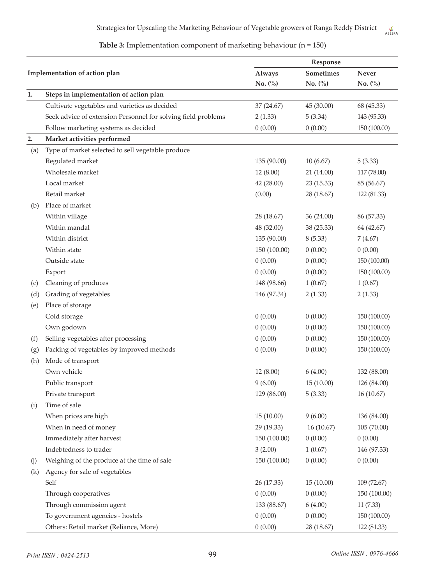**Table 3:** Implementation component of marketing behaviour (n = 150)

|     |                                                               | Response      |            |              |
|-----|---------------------------------------------------------------|---------------|------------|--------------|
|     | Implementation of action plan                                 | <b>Always</b> | Sometimes  | Never        |
|     |                                                               | No. (%)       | No. (%)    | No. (%)      |
| 1.  | Steps in implementation of action plan                        |               |            |              |
|     | Cultivate vegetables and varieties as decided                 | 37 (24.67)    | 45 (30.00) | 68 (45.33)   |
|     | Seek advice of extension Personnel for solving field problems | 2(1.33)       | 5(3.34)    | 143 (95.33)  |
|     | Follow marketing systems as decided                           | 0(0.00)       | 0(0.00)    | 150 (100.00) |
| 2.  | Market activities performed                                   |               |            |              |
| (a) | Type of market selected to sell vegetable produce             |               |            |              |
|     | Regulated market                                              | 135 (90.00)   | 10(6.67)   | 5(3.33)      |
|     | Wholesale market                                              | 12 (8.00)     | 21 (14.00) | 117 (78.00)  |
|     | Local market                                                  | 42 (28.00)    | 23 (15.33) | 85 (56.67)   |
|     | Retail market                                                 | (0.00)        | 28 (18.67) | 122 (81.33)  |
| (b) | Place of market                                               |               |            |              |
|     | Within village                                                | 28 (18.67)    | 36 (24.00) | 86 (57.33)   |
|     | Within mandal                                                 | 48 (32.00)    | 38 (25.33) | 64 (42.67)   |
|     | Within district                                               | 135 (90.00)   | 8(5.33)    | 7(4.67)      |
|     | Within state                                                  | 150 (100.00)  | 0(0.00)    | 0(0.00)      |
|     | Outside state                                                 | 0(0.00)       | 0(0.00)    | 150 (100.00) |
|     | Export                                                        | 0(0.00)       | 0(0.00)    | 150 (100.00) |
| (c) | Cleaning of produces                                          | 148 (98.66)   | 1(0.67)    | 1(0.67)      |
| (d) | Grading of vegetables                                         | 146 (97.34)   | 2(1.33)    | 2(1.33)      |
| (e) | Place of storage                                              |               |            |              |
|     | Cold storage                                                  | 0(0.00)       | 0(0.00)    | 150 (100.00) |
|     | Own godown                                                    | 0(0.00)       | 0(0.00)    | 150 (100.00) |
| (f) | Selling vegetables after processing                           | 0(0.00)       | 0(0.00)    | 150 (100.00) |
| (g) | Packing of vegetables by improved methods                     | 0(0.00)       | 0(0.00)    | 150 (100.00) |
| (h) | Mode of transport                                             |               |            |              |
|     | Own vehicle                                                   | 12 (8.00)     | 6(4.00)    | 132 (88.00)  |
|     | Public transport                                              | 9(6.00)       | 15(10.00)  | 126 (84.00)  |
|     | Private transport                                             | 129 (86.00)   | 5(3.33)    | 16 (10.67)   |
| (i) | Time of sale                                                  |               |            |              |
|     | When prices are high                                          | 15(10.00)     | 9(6.00)    | 136 (84.00)  |
|     | When in need of money                                         | 29 (19.33)    | 16(10.67)  | 105 (70.00)  |
|     | Immediately after harvest                                     | 150 (100.00)  | 0(0.00)    | 0(0.00)      |
|     | Indebtedness to trader                                        | 3(2.00)       | 1(0.67)    | 146 (97.33)  |
| (j) | Weighing of the produce at the time of sale                   | 150 (100.00)  | 0(0.00)    | 0(0.00)      |
| (k) | Agency for sale of vegetables                                 |               |            |              |
|     | Self                                                          | 26 (17.33)    | 15(10.00)  | 109 (72.67)  |
|     | Through cooperatives                                          | 0(0.00)       | 0(0.00)    | 150 (100.00) |
|     | Through commission agent                                      | 133 (88.67)   | 6(4.00)    | 11(7.33)     |
|     | To government agencies - hostels                              | 0(0.00)       | 0(0.00)    | 150 (100.00) |
|     | Others: Retail market (Reliance, More)                        | 0(0.00)       | 28 (18.67) | 122 (81.33)  |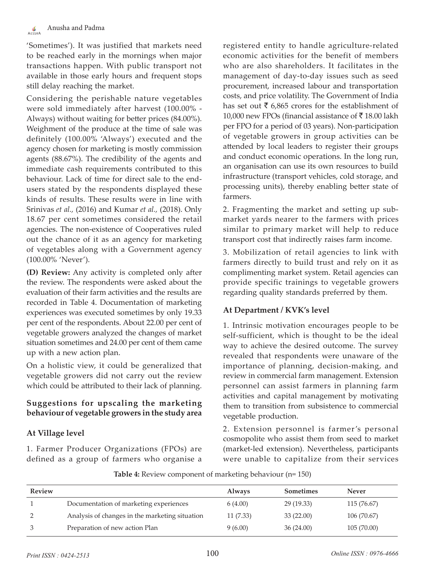'Sometimes'). It was justified that markets need to be reached early in the mornings when major transactions happen. With public transport not available in those early hours and frequent stops still delay reaching the market.

Considering the perishable nature vegetables were sold immediately after harvest (100.00% - Always) without waiting for better prices (84.00%). Weighment of the produce at the time of sale was definitely (100.00% 'Always') executed and the agency chosen for marketing is mostly commission agents (88.67%). The credibility of the agents and immediate cash requirements contributed to this behaviour. Lack of time for direct sale to the endusers stated by the respondents displayed these kinds of results. These results were in line with Srinivas *et al.,* (2016) and Kumar *et al.,* (2018). Only 18.67 per cent sometimes considered the retail agencies. The non-existence of Cooperatives ruled out the chance of it as an agency for marketing of vegetables along with a Government agency (100.00% 'Never').

**(D) Review:** Any activity is completed only after the review. The respondents were asked about the evaluation of their farm activities and the results are recorded in Table 4. Documentation of marketing experiences was executed sometimes by only 19.33 per cent of the respondents. About 22.00 per cent of vegetable growers analyzed the changes of market situation sometimes and 24.00 per cent of them came up with a new action plan.

On a holistic view, it could be generalized that vegetable growers did not carry out the review which could be attributed to their lack of planning.

#### **Suggestions for upscaling the marketing behaviour of vegetable growers in the study area**

# **At Village level**

1. Farmer Producer Organizations (FPOs) are defined as a group of farmers who organise a registered entity to handle agriculture-related economic activities for the benefit of members who are also shareholders. It facilitates in the management of day-to-day issues such as seed procurement, increased labour and transportation costs, and price volatility. The Government of India has set out  $\bar{\tau}$  6,865 crores for the establishment of 10,000 new FPOs (financial assistance of  $\bar{x}$  18.00 lakh per FPO for a period of 03 years). Non-participation of vegetable growers in group activities can be attended by local leaders to register their groups and conduct economic operations. In the long run, an organisation can use its own resources to build infrastructure (transport vehicles, cold storage, and processing units), thereby enabling better state of farmers.

2. Fragmenting the market and setting up submarket yards nearer to the farmers with prices similar to primary market will help to reduce transport cost that indirectly raises farm income.

3. Mobilization of retail agencies to link with farmers directly to build trust and rely on it as complimenting market system. Retail agencies can provide specific trainings to vegetable growers regarding quality standards preferred by them.

#### **At Department / KVK's level**

1. Intrinsic motivation encourages people to be self-sufficient, which is thought to be the ideal way to achieve the desired outcome. The survey revealed that respondents were unaware of the importance of planning, decision-making, and review in commercial farm management. Extension personnel can assist farmers in planning farm activities and capital management by motivating them to transition from subsistence to commercial vegetable production.

2. Extension personnel is farmer 's personal cosmopolite who assist them from seed to market (market-led extension). Nevertheless, participants were unable to capitalize from their services

| <b>Table 4:</b> Review component of marketing behaviour (n= 150) |  |  |  |  |
|------------------------------------------------------------------|--|--|--|--|
|------------------------------------------------------------------|--|--|--|--|

| <b>Review</b> |                                                | <b>Always</b> | <b>Sometimes</b> | <b>Never</b> |
|---------------|------------------------------------------------|---------------|------------------|--------------|
|               | Documentation of marketing experiences         | 6(4.00)       | 29(19.33)        | 115 (76.67)  |
|               | Analysis of changes in the marketing situation | 11(7.33)      | 33(22.00)        | 106 (70.67)  |
|               | Preparation of new action Plan                 | 9(6.00)       | 36(24.00)        | 105(70.00)   |